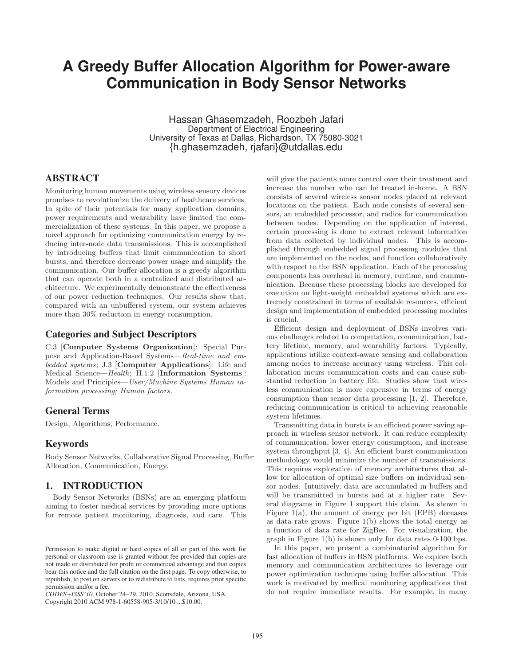# **A Greedy Buffer Allocation Algorithm for Power-aware Communication in Body Sensor Networks**

Hassan Ghasemzadeh, Roozbeh Jafari Department of Electrical Engineering University of Texas at Dallas, Richardson, TX 75080-3021 {h.ghasemzadeh, rjafari}@utdallas.edu

# ABSTRACT

Monitoring human movements using wireless sensory devices promises to revolutionize the delivery of healthcare services. In spite of their potentials for many application domains, power requirements and wearability have limited the commercialization of these systems. In this paper, we propose a novel approach for optimizing communication energy by reducing inter-node data transmissions. This is accomplished by introducing buffers that limit communication to short bursts, and therefore decrease power usage and simplify the communication. Our buffer allocation is a greedy algorithm that can operate both in a centralized and distributed architecture. We experimentally demonstrate the effectiveness of our power reduction techniques. Our results show that, compared with an unbuffered system, our system achieves more than 30% reduction in energy consumption.

# Categories and Subject Descriptors

C.3 [**Computer Systems Organization**]: Special Purpose and Application-Based Systems—Real-time and embedded systems; J.3 [**Computer Applications**]: Life and Medical Science—Health; H.1.2 [**Information Systems**]: Models and Principles—User/Machine Systems Human information processing; Human factors.

## General Terms

Design, Algorithms, Performance.

## Keywords

Body Sensor Networks, Collaborative Signal Processing, Buffer Allocation, Communication, Energy.

# 1. INTRODUCTION

Body Sensor Networks (BSNs) are an emerging platform aiming to foster medical services by providing more options for remote patient monitoring, diagnosis, and care. This

*CODES+ISSS'10,* October 24–29, 2010, Scottsdale, Arizona, USA. Copyright 2010 ACM 978-1-60558-905-3/10/10 ...\$10.00.

will give the patients more control over their treatment and increase the number who can be treated in-home. A BSN consists of several wireless sensor nodes placed at relevant locations on the patient. Each node consists of several sensors, an embedded processor, and radios for communication between nodes. Depending on the application of interest, certain processing is done to extract relevant information from data collected by individual nodes. This is accomplished through embedded signal processing modules that are implemented on the nodes, and function collaboratively with respect to the BSN application. Each of the processing components has overhead in memory, runtime, and communication. Because these processing blocks are developed for execution on light-weight embedded systems which are extremely constrained in terms of available resources, efficient design and implementation of embedded processing modules is crucial.

Efficient design and deployment of BSNs involves various challenges related to computation, communication, battery lifetime, memory, and wearability factors. Typically, applications utilize context-aware sensing and collaboration among nodes to increase accuracy using wireless. This collaboration incurs communication costs and can cause substantial reduction in battery life. Studies show that wireless communication is more expensive in terms of energy consumption than sensor data processing [1, 2]. Therefore, reducing communication is critical to achieving reasonable system lifetimes.

Transmitting data in bursts is an efficient power saving approach in wireless sensor network. It can reduce complexity of communication, lower energy consumption, and increase system throughput [3, 4]. An efficient burst communication methodology would minimize the number of transmissions. This requires exploration of memory architectures that allow for allocation of optimal size buffers on individual sensor nodes. Intuitively, data are accumulated in buffers and will be transmitted in bursts and at a higher rate. Several diagrams in Figure 1 support this claim. As shown in Figure  $1(a)$ , the amount of energy per bit (EPB) deceases as data rate grows. Figure 1(b) shows the total energy as a function of data rate for ZigBee. For visualization, the graph in Figure 1(b) is shown only for data rates 0-100 bps.

In this paper, we present a combinatorial algorithm for fast allocation of buffers in BSN platforms. We explore both memory and communication architectures to leverage our power optimization technique using buffer allocation. This work is motivated by medical monitoring applications that do not require immediate results. For example, in many

Permission to make digital or hard copies of all or part of this work for personal or classroom use is granted without fee provided that copies are not made or distributed for profit or commercial advantage and that copies bear this notice and the full citation on the first page. To copy otherwise, to republish, to post on servers or to redistribute to lists, requires prior specific permission and/or a fee.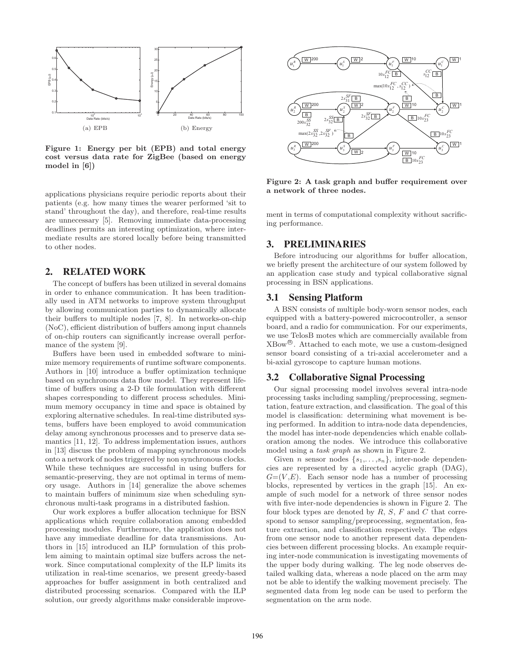

**Figure 1: Energy per bit (EPB) and total energy cost versus data rate for ZigBee (based on energy model in [6])**

applications physicians require periodic reports about their patients (e.g. how many times the wearer performed 'sit to stand' throughout the day), and therefore, real-time results are unnecessary [5]. Removing immediate data-processing deadlines permits an interesting optimization, where intermediate results are stored locally before being transmitted to other nodes.

## 2. RELATED WORK

The concept of buffers has been utilized in several domains in order to enhance communication. It has been traditionally used in ATM networks to improve system throughput by allowing communication parties to dynamically allocate their buffers to multiple nodes [7, 8]. In networks-on-chip (NoC), efficient distribution of buffers among input channels of on-chip routers can significantly increase overall performance of the system [9].

Buffers have been used in embedded software to minimize memory requirements of runtime software components. Authors in [10] introduce a buffer optimization technique based on synchronous data flow model. They represent lifetime of buffers using a 2-D tile formulation with different shapes corresponding to different process schedules. Minimum memory occupancy in time and space is obtained by exploring alternative schedules. In real-time distributed systems, buffers have been employed to avoid communication delay among synchronous processes and to preserve data semantics [11, 12]. To address implementation issues, authors in [13] discuss the problem of mapping synchronous models onto a network of nodes triggered by non synchronous clocks. While these techniques are successful in using buffers for semantic-preserving, they are not optimal in terms of memory usage. Authors in [14] generalize the above schemes to maintain buffers of minimum size when scheduling synchronous multi-task programs in a distributed fashion.

Our work explores a buffer allocation technique for BSN applications which require collaboration among embedded processing modules. Furthermore, the application does not have any immediate deadline for data transmissions. Authors in [15] introduced an ILP formulation of this problem aiming to maintain optimal size buffers across the network. Since computational complexity of the ILP limits its utilization in real-time scenarios, we present greedy-based approaches for buffer assignment in both centralized and distributed processing scenarios. Compared with the ILP solution, our greedy algorithms make considerable improve-



**Figure 2: A task graph and buffer requirement over a network of three nodes.**

ment in terms of computational complexity without sacrificing performance.

## 3. PRELIMINARIES

Before introducing our algorithms for buffer allocation, we briefly present the architecture of our system followed by an application case study and typical collaborative signal processing in BSN applications.

## 3.1 Sensing Platform

A BSN consists of multiple body-worn sensor nodes, each equipped with a battery-powered microcontroller, a sensor board, and a radio for communication. For our experiments, we use TelosB motes which are commercially available from XBow<sup>®</sup>. Attached to each mote, we use a custom-designed sensor board consisting of a tri-axial accelerometer and a bi-axial gyroscope to capture human motions.

## 3.2 Collaborative Signal Processing

Our signal processing model involves several intra-node processing tasks including sampling/preprocessing, segmentation, feature extraction, and classification. The goal of this model is classification: determining what movement is being performed. In addition to intra-node data dependencies, the model has inter-node dependencies which enable collaboration among the nodes. We introduce this collaborative model using a task graph as shown in Figure 2.

Given *n* sensor nodes  $\{s_1, \ldots, s_n\}$ , inter-node dependencies are represented by a directed acyclic graph (DAG),  $G=(V,E)$ . Each sensor node has a number of processing blocks, represented by vertices in the graph [15]. An example of such model for a network of three sensor nodes with five inter-node dependencies is shown in Figure 2. The four block types are denoted by  $R$ ,  $S$ ,  $F$  and  $C$  that correspond to sensor sampling/preprocessing, segmentation, feature extraction, and classification respectively. The edges from one sensor node to another represent data dependencies between different processing blocks. An example requiring inter-node communication is investigating movements of the upper body during walking. The leg node observes detailed walking data, whereas a node placed on the arm may not be able to identify the walking movement precisely. The segmented data from leg node can be used to perform the segmentation on the arm node.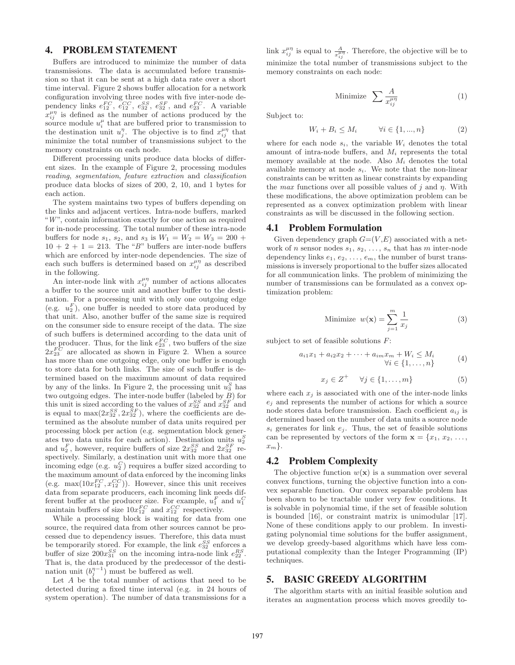## 4. PROBLEM STATEMENT

Buffers are introduced to minimize the number of data transmissions. The data is accumulated before transmission so that it can be sent at a high data rate over a short time interval. Figure 2 shows buffer allocation for a network configuration involving three nodes with five inter-node dependency links  $e_{12}^{FC}$ ,  $e_{12}^{CC}$ ,  $e_{32}^{SS}$ ,  $e_{32}^{SF}$ , and  $e_{23}^{FC}$ . A variable  $x_{ij}^{\mu\eta}$  is defined as the number of actions produced by the source module  $u_i^{\mu}$  that are buffered prior to transmission to the destination unit  $u_j^{\eta}$ . The objective is to find  $x_{ij}^{\mu\eta}$  that minimize the total number of transmissions subject to the memory constraints on each node.

Different processing units produce data blocks of different sizes. In the example of Figure 2, processing modules reading, segmentation, feature extraction and classification produce data blocks of sizes of 200, 2, 10, and 1 bytes for each action.

The system maintains two types of buffers depending on the links and adjacent vertices. Intra-node buffers, marked  $W$ ", contain information exactly for one action as required for in-node processing. The total number of these intra-node buffers for node  $s_1$ ,  $s_2$ , and  $s_3$  is  $W_1 = W_2 = W_3 = 200 +$  $10 + 2 + 1 = 213$ . The "B" buffers are inter-node buffers which are enforced by inter-node dependencies. The size of each such buffers is determined based on  $x_{ij}^{\mu\eta}$  as described in the following.

An inter-node link with  $x_{ij}^{\mu\eta}$  number of actions allocates a buffer to the source unit and another buffer to the destination. For a processing unit with only one outgoing edge (e.g.  $u_2^F$ ), one buffer is needed to store data produced by that unit. Also, another buffer of the same size is required on the consumer side to ensure receipt of the data. The size of such buffers is determined according to the data unit of the producer. Thus, for the link  $e_{23}^{FC}$ , two buffers of the size  $2x_{23}^{FC}$  are allocated as shown in Figure 2. When a source has more than one outgoing edge, only one buffer is enough to store data for both links. The size of such buffer is determined based on the maximum amount of data required by any of the links. In Figure 2, the processing unit  $\hat{u}_3^S$  has two outgoing edges. The inter-node buffer (labeled by B) for this unit is sized according to the values of  $x_{32}^{SS}$  and  $x_{32}^{SF}$  and is equal to  $\max(2x_{32}^{SS}, 2x_{32}^{SF})$ , where the coefficients are determined as the absolute number of data units required per processing block per action (e.g. segmentation block generates two data units for each action). Destination units  $u_2^S$ and  $u_2^F$ , however, require buffers of size  $2x_{32}^{SS}$  and  $2x_{32}^{SF}$  respectively. Similarly, a destination unit with more that one incoming edge (e.g.  $u_2^C$ ) requires a buffer sized according to the maximum amount of data enforced by the incoming links (e.g.  $\max(10x_{12}^{FC}, x_{12}^{CC})$ ). However, since this unit receives data from separate producers, each incoming link needs different buffer at the producer size. For example,  $u_1^F$  and  $u_1^C$  maintain buffers of size  $10x_{12}^{FC}$  and  $x_{12}^{CC}$  respectively.

While a processing block is waiting for data from one source, the required data from other sources cannot be processed due to dependency issues. Therefore, this data must be temporarily stored. For example, the link  $e_{32}^{SS}$  enforces a buffer of size  $200x_{31}^{SS}$  on the incoming intra-node link  $e_{22}^{RS}$ . That is, the data produced by the predecessor of the destination unit  $(b_j^{\eta-1})$  must be buffered as well.

Let A be the total number of actions that need to be detected during a fixed time interval (e.g. in 24 hours of system operation). The number of data transmissions for a

link  $x_{ij}^{\mu\eta}$  is equal to  $\frac{A}{x_{ij}^{\mu\eta}}$ . Therefore, the objective will be to minimize the total number of transmissions subject to the memory constraints on each node:

Minimize 
$$
\sum \frac{A}{x_{ij}^{\mu\eta}}
$$
 (1)

Subject to:

$$
W_i + B_i \le M_i \qquad \forall i \in \{1, ..., n\}
$$
 (2)

where for each node  $s_i$ , the variable  $W_i$  denotes the total amount of intra-node buffers, and  $M_i$  represents the total memory available at the node. Also  $M_i$  denotes the total available memory at node  $s_i$ . We note that the non-linear constraints can be written as linear constraints by expanding the *max* functions over all possible values of j and  $\eta$ . With these modifications, the above optimization problem can be represented as a convex optimization problem with linear constraints as will be discussed in the following section.

#### 4.1 Problem Formulation

Given dependency graph  $G=(V, E)$  associated with a network of *n* sensor nodes  $s_1, s_2, \ldots, s_n$  that has *m* inter-node dependency links  $e_1, e_2, \ldots, e_m$ , the number of burst transmissions is inversely proportional to the buffer sizes allocated for all communication links. The problem of minimizing the number of transmissions can be formulated as a convex optimization problem:

Minimize 
$$
w(\mathbf{x}) = \sum_{j=1}^{m} \frac{1}{x_j}
$$
 (3)

subject to set of feasible solutions  $F$ :

$$
a_{i1}x_1 + a_{i2}x_2 + \dots + a_{im}x_m + W_i \le M_i
$$
\n<sup>(4)</sup>

$$
\forall i \in \{1, \ldots, n\} \tag{4}
$$

$$
x_j \in Z^+ \quad \forall j \in \{1, \dots, m\} \tag{5}
$$

where each  $x_i$  is associated with one of the inter-node links  $e_j$  and represents the number of actions for which a source node stores data before transmission. Each coefficient  $a_{ij}$  is determined based on the number of data units a source node  $s_i$  generates for link  $e_i$ . Thus, the set of feasible solutions can be represented by vectors of the form  $\mathbf{x} = \{x_1, x_2, \ldots, x_n\}$  $x_m$ .

## 4.2 Problem Complexity

The objective function  $w(\mathbf{x})$  is a summation over several convex functions, turning the objective function into a convex separable function. Our convex separable problem has been shown to be tractable under very few conditions. It is solvable in polynomial time, if the set of feasible solution is bounded [16], or constraint matrix is unimodular [17]. None of these conditions apply to our problem. In investigating polynomial time solutions for the buffer assignment, we develop greedy-based algorithms which have less computational complexity than the Integer Programming (IP) techniques.

## 5. BASIC GREEDY ALGORITHM

The algorithm starts with an initial feasible solution and iterates an augmentation process which moves greedily to-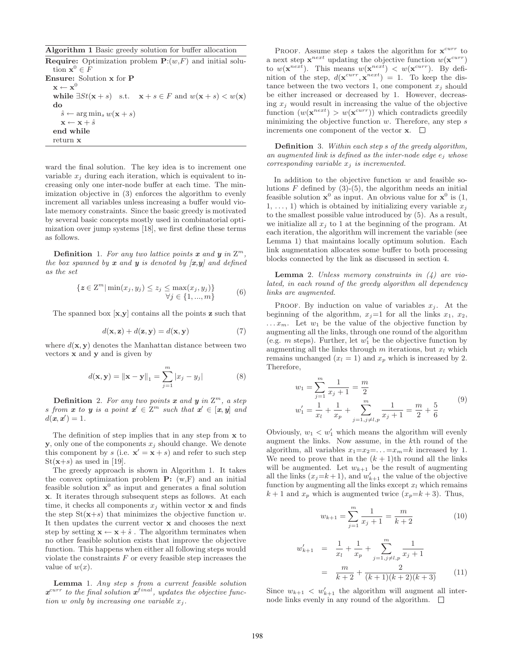**Algorithm 1** Basic greedy solution for buffer allocation

**Require:** Optimization problem  $P:(w,F)$  and initial solution  $\mathbf{x}^0 \in F$ **Ensure:** Solution **x** for **P**  $\mathbf{x} \leftarrow \mathbf{x}^0$ **while**  $\exists St(\mathbf{x} + s)$  s.t.  $\mathbf{x} + s \in F$  and  $w(\mathbf{x} + s) < w(\mathbf{x})$ **do**  $\hat{s} \leftarrow \arg \min_{s} w(\mathbf{x} + s)$  $\mathbf{x} \leftarrow \mathbf{x} + \hat{s}$ **end while** return **x**

ward the final solution. The key idea is to increment one variable  $x_j$  during each iteration, which is equivalent to increasing only one inter-node buffer at each time. The minimization objective in (3) enforces the algorithm to evenly increment all variables unless increasing a buffer would violate memory constraints. Since the basic greedy is motivated by several basic concepts mostly used in combinatorial optimization over jump systems [18], we first define these terms as follows.

**Definition** 1. For any two lattice points  $x$  and  $y$  in  $\mathbb{Z}^m$ , the box spanned by  $x$  and  $y$  is denoted by  $[x, y]$  and defined as the set

$$
\{ z \in \mathbb{Z}^m | \min(x_j, y_j) \le z_j \le \max(x_j, y_j) \} \qquad (6)
$$
  

$$
\forall j \in \{1, ..., m\}
$$

The spanned box [**x**,**y**] contains all the points **z** such that

$$
d(\mathbf{x}, \mathbf{z}) + d(\mathbf{z}, \mathbf{y}) = d(\mathbf{x}, \mathbf{y})
$$
(7)

where  $d(\mathbf{x}, \mathbf{y})$  denotes the Manhattan distance between two vectors **x** and **y** and is given by

$$
d(\mathbf{x}, \mathbf{y}) = ||\mathbf{x} - \mathbf{y}||_1 = \sum_{j=1}^{m} |x_j - y_j|
$$
 (8)

**Definition** 2. For any two points  $x$  and  $y$  in  $\mathbb{Z}^m$ , a step s from **x** to **y** is a point  $x' \in \mathbb{Z}^m$  such that  $x' \in [x, y]$  and  $d(\boldsymbol{x}, \boldsymbol{x}')=1.$ 

The definition of step implies that in any step from **x** to **y**, only one of the components  $x_j$  should change. We denote this component by s (i.e.  $\mathbf{x}' = \mathbf{x} + s$ ) and refer to such step St( $\mathbf{x}+s$ ) as used in [19].

The greedy approach is shown in Algorithm 1. It takes the convex optimization problem **P:** (w,F) and an initial feasible solution  $x^0$  as input and generates a final solution **x**. It iterates through subsequent steps as follows. At each time, it checks all components  $x_i$  within vector **x** and finds the step  $St(x+s)$  that minimizes the objective function w. It then updates the current vector **x** and chooses the next step by setting  $\mathbf{x} \leftarrow \mathbf{x} + \hat{s}$ . The algorithm terminates when no other feasible solution exists that improve the objective function. This happens when either all following steps would violate the constraints  $F$  or every feasible step increases the value of  $w(x)$ .

**Lemma** 1. Any step s from a current feasible solution  $x^{curr}$  to the final solution  $x^{final}$ , updates the objective function w only by increasing one variable  $x_j$ .

PROOF. Assume step s takes the algorithm for  $\mathbf{x}^{curr}$  to a next step  $\mathbf{x}^{next}$  updating the objective function  $w(\mathbf{x}^{curr})$ to  $w(\mathbf{x}^{next})$ . This means  $w(\mathbf{x}^{next}) < w(\mathbf{x}^{curr})$ . By definition of the step,  $d(\mathbf{x}^{curr}, \mathbf{x}^{next}) = 1$ . To keep the distance between the two vectors 1, one component  $x_j$  should be either increased or decreased by 1. However, decreasing  $x_i$  would result in increasing the value of the objective function  $(w(\mathbf{x}^{next}) > w(\mathbf{x}^{curr}))$  which contradicts greedily minimizing the objective function  $w$ . Therefore, any step  $s$ increments one component of the vector  $\mathbf{x}$ .  $\Box$ 

**Definition** 3. Within each step s of the greedy algorithm, an augmented link is defined as the inter-node edge  $e_i$  whose corresponding variable  $x_i$  is incremented.

In addition to the objective function  $w$  and feasible solutions  $F$  defined by  $(3)-(5)$ , the algorithm needs an initial feasible solution  $\mathbf{x}^0$  as input. An obvious value for  $\mathbf{x}^0$  is (1,  $1, \ldots, 1$ ) which is obtained by initializing every variable  $x_i$ to the smallest possible value introduced by (5). As a result, we initialize all  $x_i$  to 1 at the beginning of the program. At each iteration, the algorithm will increment the variable (see Lemma 1) that maintains locally optimum solution. Each link augmentation allocates some buffer to both processing blocks connected by the link as discussed in section 4.

**Lemma** 2. Unless memory constraints in (4) are violated, in each round of the greedy algorithm all dependency links are augmented.

PROOF. By induction on value of variables  $x_i$ . At the beginning of the algorithm,  $x_i=1$  for all the links  $x_1, x_2,$  $\dots x_m$ . Let  $w_1$  be the value of the objective function by augmenting all the links, through one round of the algorithm (e.g.  $m$  steps). Further, let  $w'_1$  be the objective function by augmenting all the links through  $m$  iterations, but  $x_l$  which remains unchanged  $(x_l = 1)$  and  $x_p$  which is increased by 2. Therefore,

$$
w_1 = \sum_{j=1}^m \frac{1}{x_j + 1} = \frac{m}{2}
$$
  

$$
w'_1 = \frac{1}{x_l} + \frac{1}{x_p} + \sum_{j=1, j \neq l, p}^m \frac{1}{x_j + 1} = \frac{m}{2} + \frac{5}{6}
$$

$$
(9)
$$

Obviously,  $w_1 < w'_1$  which means the algorithm will evenly augment the links. Now assume, in the kth round of the algorithm, all variables  $x_1=x_2=\ldots=x_m=k$  increased by 1. We need to prove that in the  $(k + 1)$ th round all the links will be augmented. Let  $w_{k+1}$  be the result of augmenting all the links  $(x_j = k + 1)$ , and  $w'_{k+1}$  the value of the objective function by augmenting all the links except  $x_l$  which remains  $k + 1$  and  $x_p$  which is augmented twice  $(x_p = k + 3)$ . Thus,

$$
w_{k+1} = \sum_{j=1}^{m} \frac{1}{x_j + 1} = \frac{m}{k+2}
$$
 (10)

$$
w'_{k+1} = \frac{1}{x_l} + \frac{1}{x_p} + \sum_{j=1, j \neq l, p}^{m} \frac{1}{x_j + 1}
$$
  
= 
$$
\frac{m}{k+2} + \frac{2}{(k+1)(k+2)(k+3)}
$$
(11)

Since  $w_{k+1} < w'_{k+1}$  the algorithm will augment all internode links evenly in any round of the algorithm.  $\Box$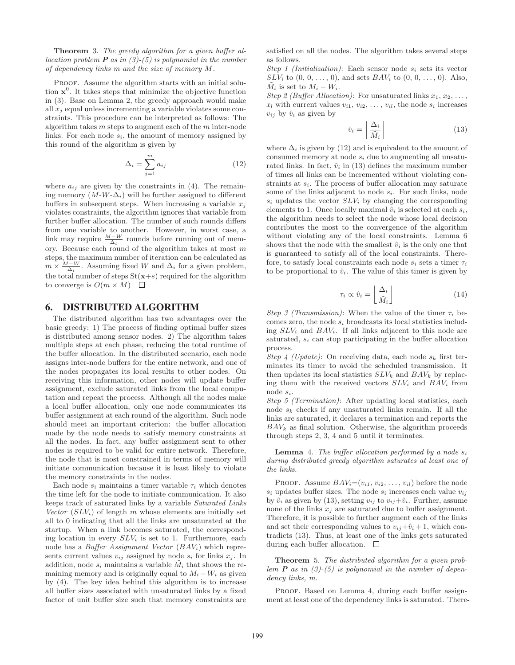**Theorem** 3. The greedy algorithm for a given buffer allocation problem  $P$  as in (3)-(5) is polynomial in the number of dependency links m and the size of memory M.

PROOF. Assume the algorithm starts with an initial solution  $\mathbf{x}^0$ . It takes steps that minimize the objective function in (3). Base on Lemma 2, the greedy approach would make all  $x_i$  equal unless incrementing a variable violates some constraints. This procedure can be interpreted as follows: The algorithm takes  $m$  steps to augment each of the  $m$  inter-node links. For each node  $s_i$ , the amount of memory assigned by this round of the algorithm is given by

$$
\Delta_i = \sum_{j=1}^{m} a_{ij} \tag{12}
$$

where  $a_{ij}$  are given by the constraints in (4). The remaining memory  $(M-W-\Delta_i)$  will be further assigned to different buffers in subsequent steps. When increasing a variable  $x_i$ violates constraints, the algorithm ignores that variable from further buffer allocation. The number of such rounds differs from one variable to another. However, in worst case, a link may require  $\frac{M-W}{\Delta_i}$  rounds before running out of memory. Because each round of the algorithm takes at most  $m$ steps, the maximum number of iteration can be calculated as  $m \times \frac{M-W}{\Delta_i}$ . Assuming fixed W and  $\Delta_i$  for a given problem, the total number of steps  $St(x+s)$  required for the algorithm to converge is  $O(m \times M)$ 

#### 6. DISTRIBUTED ALGORITHM

The distributed algorithm has two advantages over the basic greedy: 1) The process of finding optimal buffer sizes is distributed among sensor nodes. 2) The algorithm takes multiple steps at each phase, reducing the total runtime of the buffer allocation. In the distributed scenario, each node assigns inter-node buffers for the entire network, and one of the nodes propagates its local results to other nodes. On receiving this information, other nodes will update buffer assignment, exclude saturated links from the local computation and repeat the process. Although all the nodes make a local buffer allocation, only one node communicates its buffer assignment at each round of the algorithm. Such node should meet an important criterion: the buffer allocation made by the node needs to satisfy memory constraints at all the nodes. In fact, any buffer assignment sent to other nodes is required to be valid for entire network. Therefore, the node that is most constrained in terms of memory will initiate communication because it is least likely to violate the memory constraints in the nodes.

Each node  $s_i$  maintains a timer variable  $\tau_i$  which denotes the time left for the node to initiate communication. It also keeps track of saturated links by a variable Saturated Links Vector  $(SLV<sub>i</sub>)$  of length m whose elements are initially set all to 0 indicating that all the links are unsaturated at the startup. When a link becomes saturated, the corresponding location in every  $SLV_i$  is set to 1. Furthermore, each node has a Buffer Assignment Vector  $(BAV_i)$  which represents current values  $v_{ij}$  assigned by node  $s_i$  for links  $x_j$ . In addition, node  $s_i$  maintains a variable  $M_i$  that shows the remaining memory and is originally equal to  $M_i - W_i$  as given by (4). The key idea behind this algorithm is to increase all buffer sizes associated with unsaturated links by a fixed factor of unit buffer size such that memory constraints are satisfied on all the nodes. The algorithm takes several steps as follows.

Step 1 (Initialization): Each sensor node  $s_i$  sets its vector  $SLV_i$  to  $(0, 0, \ldots, 0)$ , and sets  $BAV_i$  to  $(0, 0, \ldots, 0)$ . Also,  $\tilde{M}_i$  is set to  $M_i - W_i$ .

Step 2 (Buffer Allocation): For unsaturated links  $x_1, x_2, \ldots$ ,  $x_l$  with current values  $v_{i1}, v_{i2}, \ldots, v_{il}$ , the node  $s_i$  increases  $v_{ij}$  by  $\hat{v}_i$  as given by

$$
\hat{v}_i = \left\lfloor \frac{\Delta_i}{\tilde{M}_i} \right\rfloor \tag{13}
$$

where  $\Delta_i$  is given by (12) and is equivalent to the amount of consumed memory at node  $s_i$  due to augmenting all unsaturated links. In fact,  $\hat{v}_i$  in (13) defines the maximum number of times all links can be incremented without violating constraints at  $s_i$ . The process of buffer allocation may saturate some of the links adjacent to node  $s_i$ . For such links, node  $s_i$  updates the vector  $SLV_i$  by changing the corresponding elements to 1. Once locally maximal  $\hat{v}_i$  is selected at each  $s_i$ , the algorithm needs to select the node whose local decision contributes the most to the convergence of the algorithm without violating any of the local constraints. Lemma 6 shows that the node with the smallest  $\hat{v}_i$  is the only one that is guaranteed to satisfy all of the local constraints. Therefore, to satisfy local constraints each node  $s_i$  sets a timer  $\tau_i$ to be proportional to  $\hat{v}_i$ . The value of this timer is given by

$$
\tau_i \propto \hat{v}_i = \left\lfloor \frac{\Delta_i}{\tilde{M}_i} \right\rfloor \tag{14}
$$

Step 3 (Transmission): When the value of the timer  $\tau_i$  becomes zero, the node  $s_i$  broadcasts its local statistics including  $SLV_i$  and  $BAV_i$ . If all links adjacent to this node are saturated,  $s_i$  can stop participating in the buffer allocation process.

Step 4 (Update): On receiving data, each node  $s_k$  first terminates its timer to avoid the scheduled transmission. It then updates its local statistics  $SLV_k$  and  $BAV_k$  by replacing them with the received vectors  $SLV_i$  and  $BAV_i$  from node si.

Step 5 (Termination): After updating local statistics, each node  $s_k$  checks if any unsaturated links remain. If all the links are saturated, it declares a termination and reports the  $BAV_k$  as final solution. Otherwise, the algorithm proceeds through steps 2, 3, 4 and 5 until it terminates.

**Lemma** 4. The buffer allocation performed by a node  $s_i$ during distributed greedy algorithm saturates at least one of the links.

PROOF. Assume  $BAV_i=(v_{i1}, v_{i2}, \ldots, v_{il})$  before the node  $s_i$  updates buffer sizes. The node  $s_i$  increases each value  $v_{ij}$ by  $\hat{v}_i$  as given by (13), setting  $v_{ij}$  to  $v_{ij}+\hat{v}_i$ . Further, assume none of the links  $x_i$  are saturated due to buffer assignment. Therefore, it is possible to further augment each of the links and set their corresponding values to  $v_{ij} + \hat{v}_i + 1$ , which contradicts (13). Thus, at least one of the links gets saturated during each buffer allocation.  $\square$ 

**Theorem** 5. The distributed algorithm for a given problem  $P$  as in (3)-(5) is polynomial in the number of dependency links, m.

PROOF. Based on Lemma 4, during each buffer assignment at least one of the dependency links is saturated. There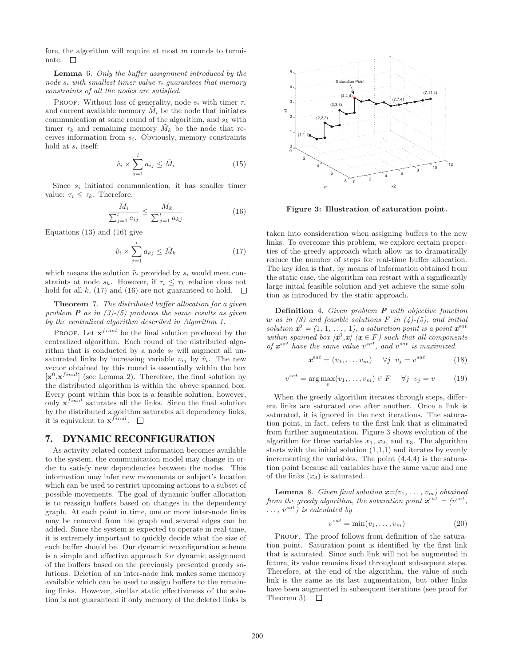fore, the algorithm will require at most m rounds to terminate.  $\square$ 

**Lemma** 6. Only the buffer assignment introduced by the node  $s_i$  with smallest timer value  $\tau_i$  guarantees that memory constraints of all the nodes are satisfied.

PROOF. Without loss of generality, node  $s_i$  with timer  $\tau_i$ and current available memory  $\tilde{M}_i$  be the node that initiates communication at some round of the algorithm, and  $s_k$  with timer  $\tau_k$  and remaining memory  $\tilde{M}_k$  be the node that receives information from  $s_i$ . Obviously, memory constraints hold at  $s_i$  itself:

$$
\hat{v}_i \times \sum_{j=1}^l a_{ij} \le \tilde{M}_i \tag{15}
$$

Since  $s_i$  initiated communication, it has smaller timer value:  $\tau_i \leq \tau_k$ . Therefore,

$$
\frac{\tilde{M}_i}{\sum_{j=1}^l a_{ij}} \le \frac{\tilde{M}_k}{\sum_{j=1}^l a_{kj}}\n \tag{16}
$$

Equations (13) and (16) give

$$
\hat{v}_i \times \sum_{j=1}^l a_{kj} \le \tilde{M}_k \tag{17}
$$

which means the solution  $\tilde{v}_i$  provided by  $s_i$  would meet constraints at node  $s_k$ . However, if  $\tau_i \leq \tau_k$  relation does not hold for all k, (17) and (16) are not guaranteed to hold.  $\square$ 

**Theorem** 7. The distributed buffer allocation for a given problem  $P$  as in (3)-(5) produces the same results as given by the centralized algorithm described in Algorithm 1.

PROOF. Let  $\mathbf{x}^{final}$  be the final solution produced by the centralized algorithm. Each round of the distributed algorithm that is conducted by a node  $s_i$  will augment all unsaturated links by increasing variable  $v_{ij}$  by  $\hat{v}_i$ . The new vector obtained by this round is essentially within the box  $[\mathbf{x}^0, \mathbf{x}^{final}]$  (see Lemma 2). Therefore, the final solution by the distributed algorithm is within the above spanned box. Every point within this box is a feasible solution, however, only  $\mathbf{x}^{\hat{final}}$  saturates all the links. Since the final solution by the distributed algorithm saturates all dependency links, it is equivalent to  $\mathbf{x}^{\widetilde{final}}$ .  $\Box$ 

### 7. DYNAMIC RECONFIGURATION

As activity-related context information becomes available to the system, the communication model may change in order to satisfy new dependencies between the nodes. This information may infer new movements or subject's location which can be used to restrict upcoming actions to a subset of possible movements. The goal of dynamic buffer allocation is to reassign buffers based on changes in the dependency graph. At each point in time, one or more inter-node links may be removed from the graph and several edges can be added. Since the system is expected to operate in real-time, it is extremely important to quickly decide what the size of each buffer should be. Our dynamic reconfiguration scheme is a simple and effective approach for dynamic assignment of the buffers based on the previously presented greedy solutions. Deletion of an inter-node link makes some memory available which can be used to assign buffers to the remaining links. However, similar static effectiveness of the solution is not guaranteed if only memory of the deleted links is



**Figure 3: Illustration of saturation point.**

taken into consideration when assigning buffers to the new links. To overcome this problem, we explore certain properties of the greedy approach which allow us to dramatically reduce the number of steps for real-time buffer allocation. The key idea is that, by means of information obtained from the static case, the algorithm can restart with a significantly large initial feasible solution and yet achieve the same solution as introduced by the static approach.

**Definition** 4. Given problem *P* with objective function w as in (3) and feasible solutions  $F$  in (4)-(5), and initial solution  $x^0 = (1, 1, \ldots, 1)$ , a saturation point is a point  $x^{sat}$ within spanned box  $[\mathbf{x}^0, \mathbf{x}]$  ( $\mathbf{x} \in F$ ) such that all components of  $\mathbf{x}^{sat}$  have the same value  $v^{sat}$ , and  $v^{sat}$  is maximized.

$$
\boldsymbol{x}^{sat} = (v_1, \dots, v_m) \quad \forall j \ \ v_j = v^{sat} \tag{18}
$$

$$
v^{sat} = \arg \max_{v} (v_1, \dots, v_m) \in F \quad \forall j \ \ v_j = v \tag{19}
$$

When the greedy algorithm iterates through steps, different links are saturated one after another. Once a link is saturated, it is ignored in the next iterations. The saturation point, in fact, refers to the first link that is eliminated from further augmentation. Figure 3 shows evolution of the algorithm for three variables  $x_1, x_2$ , and  $x_3$ . The algorithm starts with the initial solution  $(1,1,1)$  and iterates by evenly incrementing the variables. The point (4,4,4) is the saturation point because all variables have the same value and one of the links  $(x_3)$  is saturated.

**Lemma** 8. Given final solution  $\mathbf{x} = (v_1, \ldots, v_m)$  obtained from the greedy algorithm, the saturation point  $\mathbf{x}^{sat} = (v^{sat},$  $\ldots$ ,  $v^{sat}$ ) is calculated by

$$
v^{sat} = \min(v_1, \dots, v_m) \tag{20}
$$

PROOF. The proof follows from definition of the saturation point. Saturation point is identified by the first link that is saturated. Since such link will not be augmented in future, its value remains fixed throughout subsequent steps. Therefore, at the end of the algorithm, the value of such link is the same as its last augmentation, but other links have been augmented in subsequent iterations (see proof for Theorem 3).  $\square$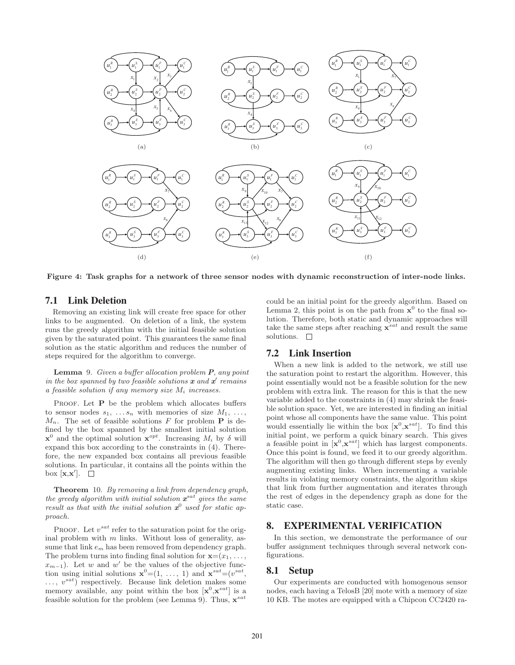

**Figure 4: Task graphs for a network of three sensor nodes with dynamic reconstruction of inter-node links.**

#### 7.1 Link Deletion

Removing an existing link will create free space for other links to be augmented. On deletion of a link, the system runs the greedy algorithm with the initial feasible solution given by the saturated point. This guarantees the same final solution as the static algorithm and reduces the number of steps required for the algorithm to converge.

**Lemma** 9. Given a buffer allocation problem *P*, any point in the box spanned by two feasible solutions  $x$  and  $x'$  remains a feasible solution if any memory size  $M_i$  increases.

PROOF. Let **P** be the problem which allocates buffers to sensor nodes  $s_1, \ldots s_n$  with memories of size  $M_1, \ldots,$  $M_n$ . The set of feasible solutions F for problem **P** is defined by the box spanned by the smallest initial solution  $\mathbf{x}^0$  and the optimal solution  $\mathbf{x}^{opt}$ . Increasing  $M_i$  by  $\delta$  will expand this box according to the constraints in (4). Therefore, the new expanded box contains all previous feasible solutions. In particular, it contains all the points within the box [**x**,**x** ].

**Theorem** 10. By removing a link from dependency graph, the greedy algorithm with initial solution  $x^{sat}$  gives the same result as that with the initial solution *x*<sup>0</sup> used for static approach.

PROOF. Let  $v^{sat}$  refer to the saturation point for the original problem with  $m$  links. Without loss of generality, assume that link  $e_m$  has been removed from dependency graph. The problem turns into finding final solution for  $\mathbf{x}=(x_1,\ldots,x_n)$  $x_{m-1}$ ). Let w and w' be the values of the objective function using initial solutions  $\mathbf{x}^0 = (1, \ldots, 1)$  and  $\mathbf{x}^{sat} = (v^{sat},$  $\ldots, v^{sat}$ ) respectively. Because link deletion makes some memory available, any point within the box  $[\mathbf{x}^0, \mathbf{x}^{sat}]$  is a feasible solution for the problem (see Lemma 9). Thus,  $\mathbf{x}^{sat}$ 

could be an initial point for the greedy algorithm. Based on Lemma 2, this point is on the path from  $x^0$  to the final solution. Therefore, both static and dynamic approaches will take the same steps after reaching  $\mathbf{x}^{sat}$  and result the same solutions.  $\square$ 

## 7.2 Link Insertion

When a new link is added to the network, we still use the saturation point to restart the algorithm. However, this point essentially would not be a feasible solution for the new problem with extra link. The reason for this is that the new variable added to the constraints in (4) may shrink the feasible solution space. Yet, we are interested in finding an initial point whose all components have the same value. This point would essentially lie within the box  $[\mathbf{x}^0, \mathbf{x}^{sat}]$ . To find this initial point, we perform a quick binary search. This gives a feasible point in  $[\mathbf{x}^0, \mathbf{x}^{sat}]$  which has largest components. Once this point is found, we feed it to our greedy algorithm. The algorithm will then go through different steps by evenly augmenting existing links. When incrementing a variable results in violating memory constraints, the algorithm skips that link from further augmentation and iterates through the rest of edges in the dependency graph as done for the static case.

## 8. EXPERIMENTAL VERIFICATION

In this section, we demonstrate the performance of our buffer assignment techniques through several network configurations.

#### 8.1 Setup

Our experiments are conducted with homogenous sensor nodes, each having a TelosB [20] mote with a memory of size 10 KB. The motes are equipped with a Chipcon CC2420 ra-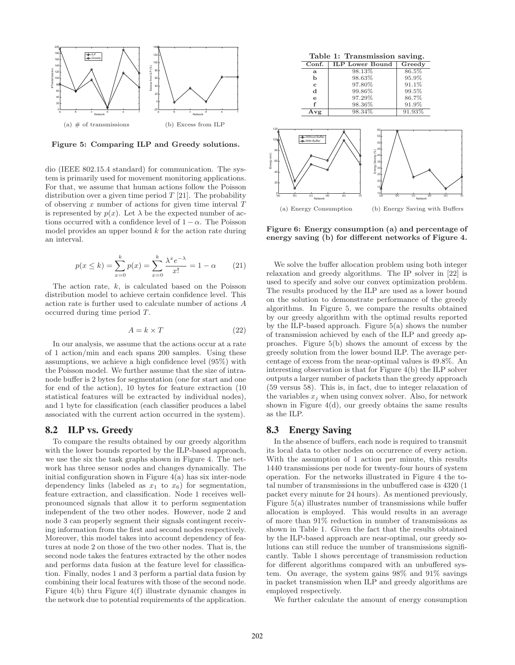

**Figure 5: Comparing ILP and Greedy solutions.**

dio (IEEE 802.15.4 standard) for communication. The system is primarily used for movement monitoring applications. For that, we assume that human actions follow the Poisson distribution over a given time period  $T$  [21]. The probability of observing  $x$  number of actions for given time interval  $T$ is represented by  $p(x)$ . Let  $\lambda$  be the expected number of actions occurred with a confidence level of  $1 - \alpha$ . The Poisson model provides an upper bound  $k$  for the action rate during an interval.

$$
p(x \le k) = \sum_{x=0}^{k} p(x) = \sum_{x=0}^{k} \frac{\lambda^x e^{-\lambda}}{x!} = 1 - \alpha \quad (21)
$$

The action rate,  $k$ , is calculated based on the Poisson distribution model to achieve certain confidence level. This action rate is further used to calculate number of actions A occurred during time period T.

$$
A = k \times T \tag{22}
$$

In our analysis, we assume that the actions occur at a rate of 1 action/min and each spans 200 samples. Using these assumptions, we achieve a high confidence level (95%) with the Poisson model. We further assume that the size of intranode buffer is 2 bytes for segmentation (one for start and one for end of the action), 10 bytes for feature extraction (10 statistical features will be extracted by individual nodes), and 1 byte for classification (each classifier produces a label associated with the current action occurred in the system).

## 8.2 ILP vs. Greedy

To compare the results obtained by our greedy algorithm with the lower bounds reported by the ILP-based approach, we use the six the task graphs shown in Figure 4. The network has three sensor nodes and changes dynamically. The initial configuration shown in Figure 4(a) has six inter-node dependency links (labeled as  $x_1$  to  $x_6$ ) for segmentation, feature extraction, and classification. Node 1 receives wellpronounced signals that allow it to perform segmentation independent of the two other nodes. However, node 2 and node 3 can properly segment their signals contingent receiving information from the first and second nodes respectively. Moreover, this model takes into account dependency of features at node 2 on those of the two other nodes. That is, the second node takes the features extracted by the other nodes and performs data fusion at the feature level for classification. Finally, nodes 1 and 3 perform a partial data fusion by combining their local features with those of the second node. Figure 4(b) thru Figure 4(f) illustrate dynamic changes in the network due to potential requirements of the application.



**Figure 6: Energy consumption (a) and percentage of energy saving (b) for different networks of Figure 4.**

We solve the buffer allocation problem using both integer relaxation and greedy algorithms. The IP solver in [22] is used to specify and solve our convex optimization problem. The results produced by the ILP are used as a lower bound on the solution to demonstrate performance of the greedy algorithms. In Figure 5, we compare the results obtained by our greedy algorithm with the optimal results reported by the ILP-based approach. Figure 5(a) shows the number of transmission achieved by each of the ILP and greedy approaches. Figure 5(b) shows the amount of excess by the greedy solution from the lower bound ILP. The average percentage of excess from the near-optimal values is 49.8%. An interesting observation is that for Figure 4(b) the ILP solver outputs a larger number of packets than the greedy approach (59 versus 58). This is, in fact, due to integer relaxation of the variables  $x_i$  when using convex solver. Also, for network shown in Figure  $4(d)$ , our greedy obtains the same results as the ILP.

# 8.3 Energy Saving

In the absence of buffers, each node is required to transmit its local data to other nodes on occurrence of every action. With the assumption of 1 action per minute, this results 1440 transmissions per node for twenty-four hours of system operation. For the networks illustrated in Figure 4 the total number of transmissions in the unbuffered case is 4320 (1 packet every minute for 24 hours). As mentioned previously, Figure 5(a) illustrates number of transmissions while buffer allocation is employed. This would results in an average of more than 91% reduction in number of transmissions as shown in Table 1. Given the fact that the results obtained by the ILP-based approach are near-optimal, our greedy solutions can still reduce the number of transmissions significantly. Table 1 shows percentage of transmission reduction for different algorithms compared with an unbuffered system. On average, the system gains 98% and 91% savings in packet transmission when ILP and greedy algorithms are employed respectively.

We further calculate the amount of energy consumption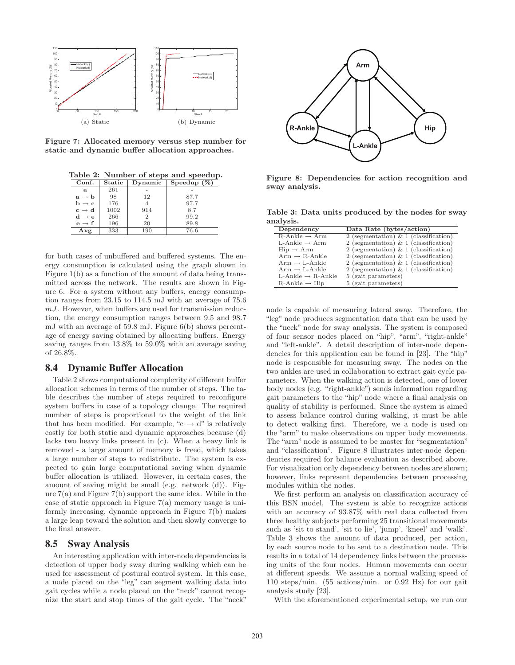

**Figure 7: Allocated memory versus step number for static and dynamic buffer allocation approaches.**

**Table 2: Number of steps and speedup.**

| Conf.                               | Static | $D$ ynamic     | Speedup $(\%)$ |
|-------------------------------------|--------|----------------|----------------|
| a                                   | 261    |                |                |
| $a \rightarrow b$                   | 98     | 12             | 87.7           |
| $\mathbf{b} \rightarrow \mathbf{c}$ | 176    |                | 97.7           |
| $\mathbf{c} \to \mathbf{d}$         | 1002   | 914            | 8.7            |
| $d \rightarrow e$                   | 266    | $\overline{2}$ | 99.2           |
| $e \rightarrow f$                   | 196    | 20             | 89.8           |
| Avg                                 | 333    | 190            | 76.6           |
|                                     |        |                |                |

for both cases of unbuffered and buffered systems. The energy consumption is calculated using the graph shown in Figure 1(b) as a function of the amount of data being transmitted across the network. The results are shown in Figure 6. For a system without any buffers, energy consumption ranges from 23.15 to 114.5 mJ with an average of 75.6  $mJ$ . However, when buffers are used for transmission reduction, the energy consumption ranges between 9.5 and 98.7 mJ with an average of 59.8 mJ. Figure 6(b) shows percentage of energy saving obtained by allocating buffers. Energy saving ranges from 13.8% to 59.0% with an average saving of 26.8%.

#### 8.4 Dynamic Buffer Allocation

Table 2 shows computational complexity of different buffer allocation schemes in terms of the number of steps. The table describes the number of steps required to reconfigure system buffers in case of a topology change. The required number of steps is proportional to the weight of the link that has been modified. For example, " $c \rightarrow d$ " is relatively costly for both static and dynamic approaches because (d) lacks two heavy links present in (c). When a heavy link is removed - a large amount of memory is freed, which takes a large number of steps to redistribute. The system is expected to gain large computational saving when dynamic buffer allocation is utilized. However, in certain cases, the amount of saving might be small (e.g. network (d)). Figure 7(a) and Figure 7(b) support the same idea. While in the case of static approach in Figure 7(a) memory usage is uniformly increasing, dynamic approach in Figure 7(b) makes a large leap toward the solution and then slowly converge to the final answer.

#### 8.5 Sway Analysis

An interesting application with inter-node dependencies is detection of upper body sway during walking which can be used for assessment of postural control system. In this case, a node placed on the "leg" can segment walking data into gait cycles while a node placed on the "neck" cannot recognize the start and stop times of the gait cycle. The "neck"



**Figure 8: Dependencies for action recognition and sway analysis.**

**Table 3: Data units produced by the nodes for sway analysis.**

| Dependency                          | Data Rate (bytes/action)                |  |  |
|-------------------------------------|-----------------------------------------|--|--|
| $R$ -Ankle $\rightarrow$ Arm        | 2 (segmentation) & 1 (classification)   |  |  |
| L-Ankle $\rightarrow$ Arm           | 2 (segmentation) & 1 (classification)   |  |  |
| $\text{Hip} \rightarrow \text{Arm}$ | 2 (segmentation) & 1 (classification)   |  |  |
| $Arm \rightarrow R-Ankle$           | 2 (segmentation) & 1 (classification)   |  |  |
| $Arm \rightarrow L-Ankle$           | 2 (segmentation) $& 1$ (classification) |  |  |
| $Arm \rightarrow L-Ankle$           | 2 (segmentation) $& 1$ (classification) |  |  |
| L-Ankle $\rightarrow$ R-Ankle       | 5 (gait parameters)                     |  |  |
| $R$ -Ankle $\rightarrow$ Hip        | 5 (gait parameters)                     |  |  |

node is capable of measuring lateral sway. Therefore, the "leg" node produces segmentation data that can be used by the "neck" node for sway analysis. The system is composed of four sensor nodes placed on "hip", "arm", "right-ankle" and "left-ankle". A detail description of inter-node dependencies for this application can be found in [23]. The "hip" node is responsible for measuring sway. The nodes on the two ankles are used in collaboration to extract gait cycle parameters. When the walking action is detected, one of lower body nodes (e.g. "right-ankle") sends information regarding gait parameters to the "hip" node where a final analysis on quality of stability is performed. Since the system is aimed to assess balance control during walking, it must be able to detect walking first. Therefore, we a node is used on the "arm" to make observations on upper body movements. The "arm" node is assumed to be master for "segmentation" and "classification". Figure 8 illustrates inter-node dependencies required for balance evaluation as described above. For visualization only dependency between nodes are shown; however, links represent dependencies between processing modules within the nodes.

We first perform an analysis on classification accuracy of this BSN model. The system is able to recognize actions with an accuracy of 93.87% with real data collected from three healthy subjects performing 25 transitional movements such as 'sit to stand', 'sit to lie', 'jump', 'kneel' and 'walk'. Table 3 shows the amount of data produced, per action, by each source node to be sent to a destination node. This results in a total of 14 dependency links between the processing units of the four nodes. Human movements can occur at different speeds. We assume a normal walking speed of 110 steps/min. (55 actions/min. or 0.92 Hz) for our gait analysis study [23].

With the aforementioned experimental setup, we run our